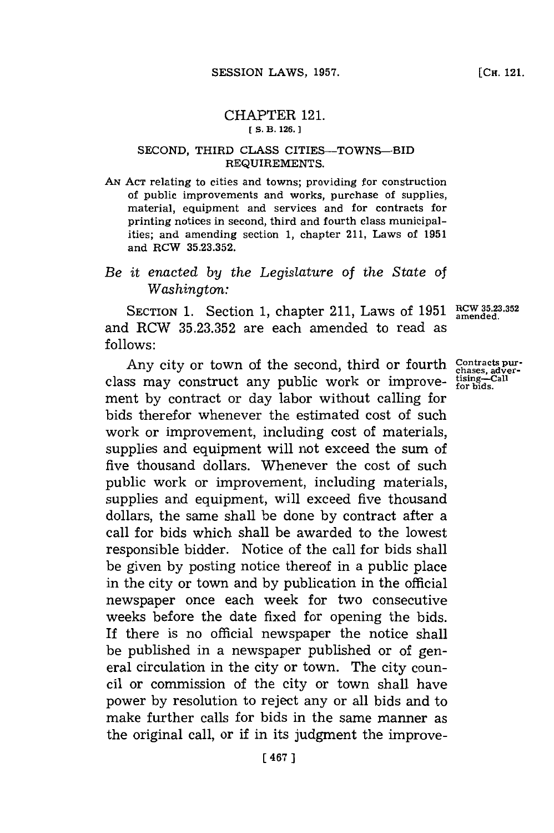## CHAPTER 121. **[S. B. 126.]1**

## **SECOND,** THIRD **CLASS** CITIES-TOWNS-BID REQUIREMENTS.

**AN ACT** relating to cities and towns; providing for construction of public improvements and works, purchase of supplies, material, equipment and services and for contracts for printing notices in second, third and fourth class municipalities; and amending section **1,** chapter 211, Laws of **1951** and RCW **35.23.352.**

## *Be it enacted by the Legislature of the State of Washington:*

SECTION 1. Section 1, chapter 211, Laws of 1951 RCW 35.23.352 and ROW **35.23.352** are each amended to read as **follows:**

Any city or town of the second, third or fourth. class may construct any public work or improvement **by** contract or day labor without calling for bids therefor whenever the estimated cost of such work or improvement, including cost of materials, supplies and equipment will not exceed the sum of five thousand dollars. Whenever the cost of such public work or improvement, including materials, supplies and equipment, will exceed five thousand dollars, the same shall be done **by** contract after a call for bids which shall be awarded to the lowest responsible bidder. Notice of the call for bids shall be given **by** posting notice thereof in a public place in the city or town and **by** publication in the official newspaper once each week for two consecutive weeks before the date fixed for opening the bids. If there is no official newspaper the notice shall be published in a newspaper published or of general circulation in the city or town. The city council or commission of the city or town shall have power **by** resolution to reject any or all bids and to make further calls for bids in the same manner as the original call, or if in its judgment the improve-

**Contracts pur- chases, adver-tising-Call for bids.**